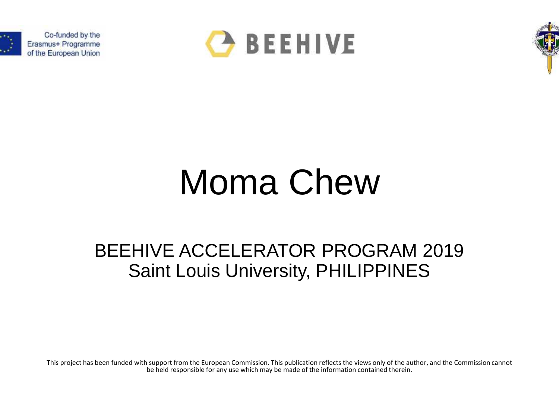

Co-funded by the Erasmus+ Programme of the European Union





## Moma Chew

## BEEHIVE ACCELERATOR PROGRAM 2019 Saint Louis University, PHILIPPINES

This project has been funded with support from the European Commission. This publication reflects the views only of the author, and the Commission cannot be held responsible for any use which may be made of the information contained therein.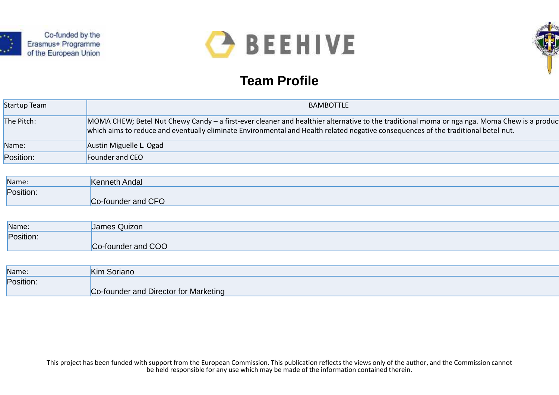

Co-funded by the Erasmus+ Programme of the European Union



## **Team Profile**



| Startup Team | BAMBOTTLE                                                                                                                                                                                                                                                                          |
|--------------|------------------------------------------------------------------------------------------------------------------------------------------------------------------------------------------------------------------------------------------------------------------------------------|
| The Pitch:   | MOMA CHEW; Betel Nut Chewy Candy – a first-ever cleaner and healthier alternative to the traditional moma or nga nga. Moma Chew is a product<br>which aims to reduce and eventually eliminate Environmental and Health related negative consequences of the traditional betel nut. |
| Name:        | Austin Miguelle L. Ogad                                                                                                                                                                                                                                                            |
| Position:    | Founder and CEO                                                                                                                                                                                                                                                                    |

| Name:     | <b>Kenneth Andal</b> |
|-----------|----------------------|
| Position: |                      |
|           | Co-founder and CFO   |

| Name:     | James Quizon       |
|-----------|--------------------|
| Position: |                    |
|           | Co-founder and COO |

| Name:     | Kim Soriano                           |
|-----------|---------------------------------------|
| Position: |                                       |
|           | Co-founder and Director for Marketing |

This project has been funded with support from the European Commission. This publication reflects the views only of the author, and the Commission cannot be held responsible for any use which may be made of the information contained therein.